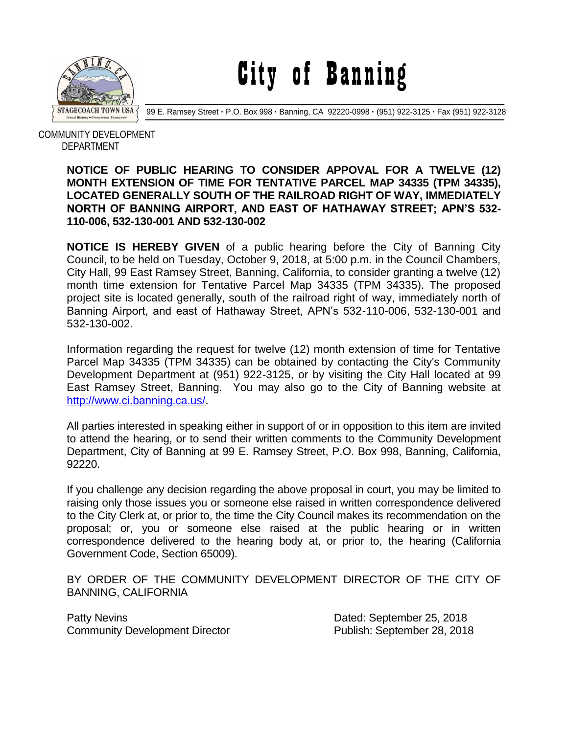

City of Banning

99 E. Ramsey Street **·** P.O. Box 998 **·** Banning, CA 92220-0998 **·** (951) 922-3125 **·** Fax (951) 922-3128

 COMMUNITY DEVELOPMENT DEPARTMENT

## **NOTICE OF PUBLIC HEARING TO CONSIDER APPOVAL FOR A TWELVE (12) MONTH EXTENSION OF TIME FOR TENTATIVE PARCEL MAP 34335 (TPM 34335), LOCATED GENERALLY SOUTH OF THE RAILROAD RIGHT OF WAY, IMMEDIATELY NORTH OF BANNING AIRPORT, AND EAST OF HATHAWAY STREET; APN'S 532- 110-006, 532-130-001 AND 532-130-002**

**NOTICE IS HEREBY GIVEN** of a public hearing before the City of Banning City Council, to be held on Tuesday, October 9, 2018, at 5:00 p.m. in the Council Chambers, City Hall, 99 East Ramsey Street, Banning, California, to consider granting a twelve (12) month time extension for Tentative Parcel Map 34335 (TPM 34335). The proposed project site is located generally, south of the railroad right of way, immediately north of Banning Airport, and east of Hathaway Street, APN's 532-110-006, 532-130-001 and 532-130-002.

Information regarding the request for twelve (12) month extension of time for Tentative Parcel Map 34335 (TPM 34335) can be obtained by contacting the City's Community Development Department at (951) 922-3125, or by visiting the City Hall located at 99 East Ramsey Street, Banning. You may also go to the City of Banning website at [http://www.ci.banning.ca.us/.](http://www.ci.banning.ca.us/)

All parties interested in speaking either in support of or in opposition to this item are invited to attend the hearing, or to send their written comments to the Community Development Department, City of Banning at 99 E. Ramsey Street, P.O. Box 998, Banning, California, 92220.

If you challenge any decision regarding the above proposal in court, you may be limited to raising only those issues you or someone else raised in written correspondence delivered to the City Clerk at, or prior to, the time the City Council makes its recommendation on the proposal; or, you or someone else raised at the public hearing or in written correspondence delivered to the hearing body at, or prior to, the hearing (California Government Code, Section 65009).

BY ORDER OF THE COMMUNITY DEVELOPMENT DIRECTOR OF THE CITY OF BANNING, CALIFORNIA

Patty Nevins **Patty News** 25, 2018 Community Development Director **Publish: September 28, 2018**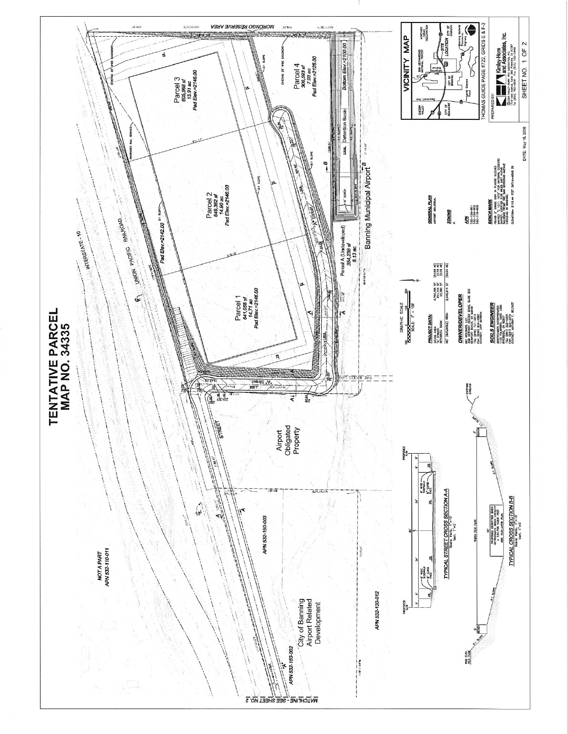